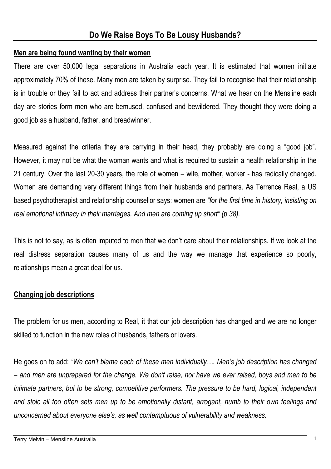## **Men are being found wanting by their women**

There are over 50,000 legal separations in Australia each year. It is estimated that women initiate approximately 70% of these. Many men are taken by surprise. They fail to recognise that their relationship is in trouble or they fail to act and address their partner's concerns. What we hear on the Mensline each day are stories form men who are bemused, confused and bewildered. They thought they were doing a good job as a husband, father, and breadwinner.

Measured against the criteria they are carrying in their head, they probably are doing a "good job". However, it may not be what the woman wants and what is required to sustain a health relationship in the 21 century. Over the last 20-30 years, the role of women – wife, mother, worker - has radically changed. Women are demanding very different things from their husbands and partners. As Terrence Real, a US based psychotherapist and relationship counsellor says: women are *"for the first time in history, insisting on real emotional intimacy in their marriages. And men are coming up short" (p 38).*

This is not to say, as is often imputed to men that we don't care about their relationships. If we look at the real distress separation causes many of us and the way we manage that experience so poorly, relationships mean a great deal for us.

# **Changing job descriptions**

The problem for us men, according to Real, it that our job description has changed and we are no longer skilled to function in the new roles of husbands, fathers or lovers.

He goes on to add: *"We can't blame each of these men individually…. Men's job description has changed – and men are unprepared for the change. We don't raise, nor have we ever raised, boys and men to be intimate partners, but to be strong, competitive performers. The pressure to be hard, logical, independent and stoic all too often sets men up to be emotionally distant, arrogant, numb to their own feelings and unconcerned about everyone else's, as well contemptuous of vulnerability and weakness.*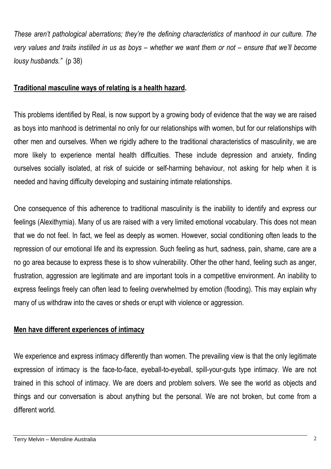*These aren't pathological aberrations; they're the defining characteristics of manhood in our culture. The very values and traits instilled in us as boys – whether we want them or not – ensure that we'll become lousy husbands.*" (p 38)

### **Traditional masculine ways of relating is a health hazard.**

This problems identified by Real, is now support by a growing body of evidence that the way we are raised as boys into manhood is detrimental no only for our relationships with women, but for our relationships with other men and ourselves. When we rigidly adhere to the traditional characteristics of masculinity, we are more likely to experience mental health difficulties. These include depression and anxiety, finding ourselves socially isolated, at risk of suicide or self-harming behaviour, not asking for help when it is needed and having difficulty developing and sustaining intimate relationships.

One consequence of this adherence to traditional masculinity is the inability to identify and express our feelings (Alexithymia). Many of us are raised with a very limited emotional vocabulary. This does not mean that we do not feel. In fact, we feel as deeply as women. However, social conditioning often leads to the repression of our emotional life and its expression. Such feeling as hurt, sadness, pain, shame, care are a no go area because to express these is to show vulnerability. Other the other hand, feeling such as anger, frustration, aggression are legitimate and are important tools in a competitive environment. An inability to express feelings freely can often lead to feeling overwhelmed by emotion (flooding). This may explain why many of us withdraw into the caves or sheds or erupt with violence or aggression.

## **Men have different experiences of intimacy**

We experience and express intimacy differently than women. The prevailing view is that the only legitimate expression of intimacy is the face-to-face, eyeball-to-eyeball, spill-your-guts type intimacy. We are not trained in this school of intimacy. We are doers and problem solvers. We see the world as objects and things and our conversation is about anything but the personal. We are not broken, but come from a different world.